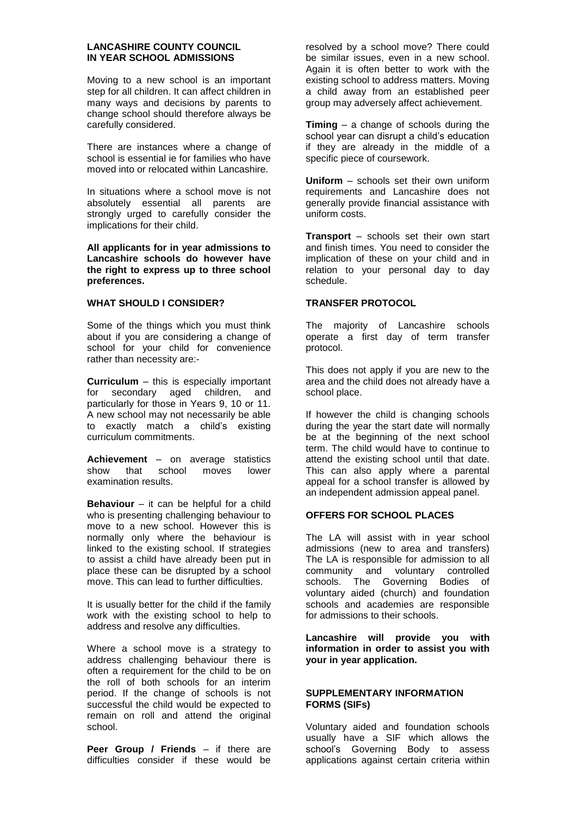### **LANCASHIRE COUNTY COUNCIL IN YEAR SCHOOL ADMISSIONS**

Moving to a new school is an important step for all children. It can affect children in many ways and decisions by parents to change school should therefore always be carefully considered.

There are instances where a change of school is essential ie for families who have moved into or relocated within Lancashire.

In situations where a school move is not absolutely essential all parents are strongly urged to carefully consider the implications for their child.

**All applicants for in year admissions to Lancashire schools do however have the right to express up to three school preferences.** 

# **WHAT SHOULD I CONSIDER?**

Some of the things which you must think about if you are considering a change of school for your child for convenience rather than necessity are:-

**Curriculum** – this is especially important for secondary aged children, and particularly for those in Years 9, 10 or 11. A new school may not necessarily be able to exactly match a child's existing curriculum commitments.

**Achievement** – on average statistics show that school moves lower examination results.

**Behaviour** – it can be helpful for a child who is presenting challenging behaviour to move to a new school. However this is normally only where the behaviour is linked to the existing school. If strategies to assist a child have already been put in place these can be disrupted by a school move. This can lead to further difficulties.

It is usually better for the child if the family work with the existing school to help to address and resolve any difficulties.

Where a school move is a strategy to address challenging behaviour there is often a requirement for the child to be on the roll of both schools for an interim period. If the change of schools is not successful the child would be expected to remain on roll and attend the original school.

**Peer Group / Friends** – if there are difficulties consider if these would be resolved by a school move? There could be similar issues, even in a new school. Again it is often better to work with the existing school to address matters. Moving a child away from an established peer group may adversely affect achievement.

**Timing** – a change of schools during the school year can disrupt a child's education if they are already in the middle of a specific piece of coursework.

**Uniform** – schools set their own uniform requirements and Lancashire does not generally provide financial assistance with uniform costs.

**Transport** – schools set their own start and finish times. You need to consider the implication of these on your child and in relation to your personal day to day schedule.

## **TRANSFER PROTOCOL**

The majority of Lancashire schools operate a first day of term transfer protocol.

This does not apply if you are new to the area and the child does not already have a school place.

If however the child is changing schools during the year the start date will normally be at the beginning of the next school term. The child would have to continue to attend the existing school until that date. This can also apply where a parental appeal for a school transfer is allowed by an independent admission appeal panel.

#### **OFFERS FOR SCHOOL PLACES**

The LA will assist with in year school admissions (new to area and transfers) The LA is responsible for admission to all community and voluntary controlled schools. The Governing Bodies of voluntary aided (church) and foundation schools and academies are responsible for admissions to their schools.

**Lancashire will provide you with information in order to assist you with your in year application.**

#### **SUPPLEMENTARY INFORMATION FORMS (SIFs)**

Voluntary aided and foundation schools usually have a SIF which allows the school's Governing Body to assess applications against certain criteria within